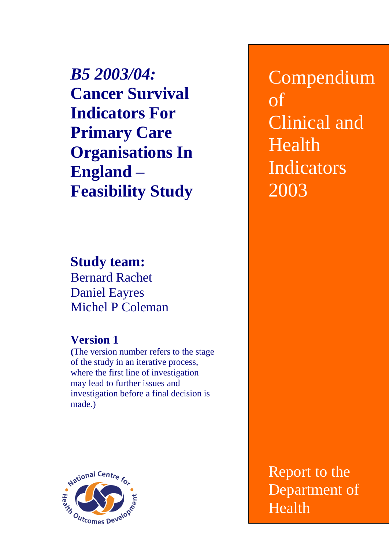*B5 2003/04:* **Cancer Survival Indicators For Primary Care Organisations In England – Feasibility Study**

**Study team:** Bernard Rachet Daniel Eayres Michel P Coleman

# **Version 1**

**(**The version number refers to the stage of the study in an iterative process, where the first line of investigation may lead to further issues and investigation before a final decision is made.)



Compendium of Clinical and Health Indicators 2003

Report to the Department of Health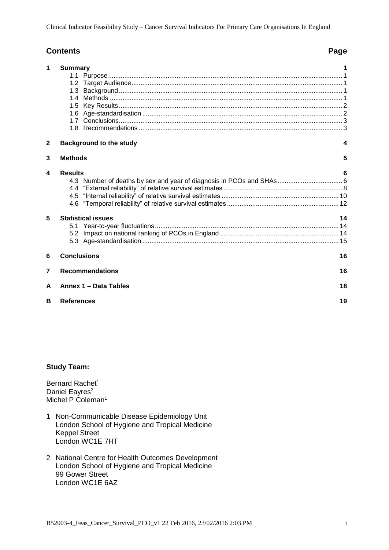### **Contents Page**

| 1            | <b>Summary</b>                                                       |    |
|--------------|----------------------------------------------------------------------|----|
|              |                                                                      |    |
|              |                                                                      |    |
|              | 1.3                                                                  |    |
|              | 1.4                                                                  |    |
|              | 1.5                                                                  |    |
|              |                                                                      |    |
|              |                                                                      |    |
|              |                                                                      |    |
| $\mathbf{2}$ | <b>Background to the study</b>                                       | 4  |
| 3            | <b>Methods</b>                                                       | 5  |
| 4            | <b>Results</b>                                                       | 6  |
|              | 4.3 Number of deaths by sex and year of diagnosis in PCOs and SHAs 6 |    |
|              |                                                                      |    |
|              |                                                                      |    |
|              |                                                                      |    |
| 5            | <b>Statistical issues</b>                                            | 14 |
|              |                                                                      |    |
|              |                                                                      |    |
|              |                                                                      |    |
| 6            | <b>Conclusions</b>                                                   | 16 |
| 7            | <b>Recommendations</b>                                               | 16 |
| A            | Annex 1 - Data Tables                                                | 18 |
| в            | <b>References</b>                                                    | 19 |

#### **Study Team:**

Bernard Rachet<sup>1</sup> Daniel Eayres<sup>2</sup> Michel P Coleman<sup>1</sup>

- 1 Non-Communicable Disease Epidemiology Unit London School of Hygiene and Tropical Medicine Keppel Street London WC1E 7HT
- 2 National Centre for Health Outcomes Development London School of Hygiene and Tropical Medicine 99 Gower Street London WC1E 6AZ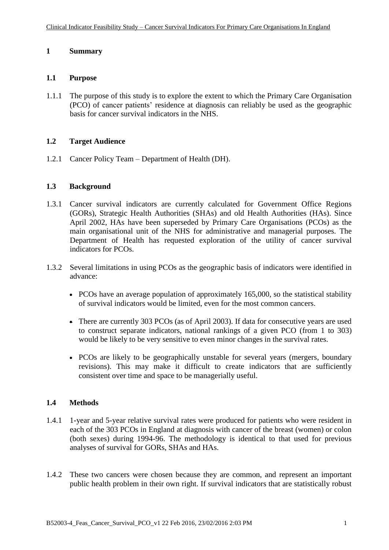#### **1 Summary**

#### **1.1 Purpose**

1.1.1 The purpose of this study is to explore the extent to which the Primary Care Organisation (PCO) of cancer patients' residence at diagnosis can reliably be used as the geographic basis for cancer survival indicators in the NHS.

#### **1.2 Target Audience**

1.2.1 Cancer Policy Team – Department of Health (DH).

#### **1.3 Background**

- 1.3.1 Cancer survival indicators are currently calculated for Government Office Regions (GORs), Strategic Health Authorities (SHAs) and old Health Authorities (HAs). Since April 2002, HAs have been superseded by Primary Care Organisations (PCOs) as the main organisational unit of the NHS for administrative and managerial purposes. The Department of Health has requested exploration of the utility of cancer survival indicators for PCOs.
- 1.3.2 Several limitations in using PCOs as the geographic basis of indicators were identified in advance:
	- PCOs have an average population of approximately 165,000, so the statistical stability of survival indicators would be limited, even for the most common cancers.
	- There are currently 303 PCOs (as of April 2003). If data for consecutive years are used to construct separate indicators, national rankings of a given PCO (from 1 to 303) would be likely to be very sensitive to even minor changes in the survival rates.
	- PCOs are likely to be geographically unstable for several years (mergers, boundary revisions). This may make it difficult to create indicators that are sufficiently consistent over time and space to be managerially useful.

### **1.4 Methods**

- 1.4.1 1-year and 5-year relative survival rates were produced for patients who were resident in each of the 303 PCOs in England at diagnosis with cancer of the breast (women) or colon (both sexes) during 1994-96. The methodology is identical to that used for previous analyses of survival for GORs, SHAs and HAs.
- 1.4.2 These two cancers were chosen because they are common, and represent an important public health problem in their own right. If survival indicators that are statistically robust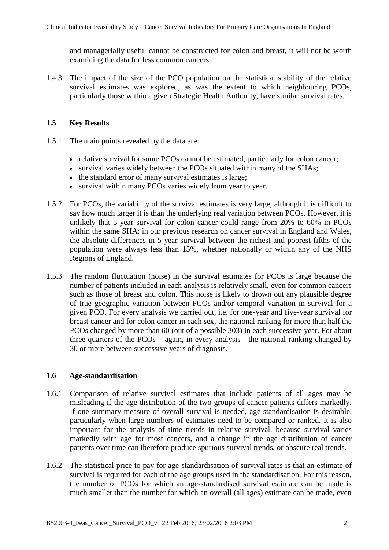and managerially useful cannot be constructed for colon and breast, it will not be worth examining the data for less common cancers.

1.4.3 The impact of the size of the PCO population on the statistical stability of the relative survival estimates was explored, as was the extent to which neighbouring PCOs, particularly those within a given Strategic Health Authority, have similar survival rates.

#### **1.5 Key Results**

- 1.5.1 The main points revealed by the data are:
	- relative survival for some PCOs cannot be estimated, particularly for colon cancer;
	- survival varies widely between the PCOs situated within many of the SHAs;
	- the standard error of many survival estimates is large;
	- survival within many PCOs varies widely from year to year.
- 1.5.2 For PCOs, the variability of the survival estimates is very large, although it is difficult to say how much larger it is than the underlying real variation between PCOs. However, it is unlikely that 5-year survival for colon cancer could range from 20% to 60% in PCOs within the same SHA: in our previous research on cancer survival in England and Wales, the absolute differences in 5-year survival between the richest and poorest fifths of the population were always less than 15%, whether nationally or within any of the NHS Regions of England.
- 1.5.3 The random fluctuation (noise) in the survival estimates for PCOs is large because the number of patients included in each analysis is relatively small, even for common cancers such as those of breast and colon. This noise is likely to drown out any plausible degree of true geographic variation between PCOs and/or temporal variation in survival for a given PCO. For every analysis we carried out, i.e. for one-year and five-year survival for breast cancer and for colon cancer in each sex, the national ranking for more than half the PCOs changed by more than 60 (out of a possible 303) in each successive year. For about three-quarters of the PCOs – again, in every analysis - the national ranking changed by 30 or more between successive years of diagnosis.

#### **1.6 Age-standardisation**

- 1.6.1 Comparison of relative survival estimates that include patients of all ages may be misleading if the age distribution of the two groups of cancer patients differs markedly. If one summary measure of overall survival is needed, age-standardisation is desirable, particularly when large numbers of estimates need to be compared or ranked. It is also important for the analysis of time trends in relative survival, because survival varies markedly with age for most cancers, and a change in the age distribution of cancer patients over time can therefore produce spurious survival trends, or obscure real trends.
- 1.6.2 The statistical price to pay for age-standardisation of survival rates is that an estimate of survival is required for each of the age groups used in the standardisation. For this reason, the number of PCOs for which an age-standardised survival estimate can be made is much smaller than the number for which an overall (all ages) estimate can be made, even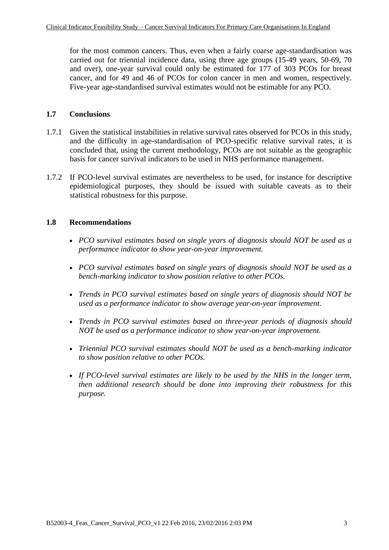for the most common cancers. Thus, even when a fairly coarse age-standardisation was carried out for triennial incidence data, using three age groups (15-49 years, 50-69, 70 and over), one-year survival could only be estimated for 177 of 303 PCOs for breast cancer, and for 49 and 46 of PCOs for colon cancer in men and women, respectively. Five-year age-standardised survival estimates would not be estimable for any PCO.

#### **1.7 Conclusions**

- 1.7.1 Given the statistical instabilities in relative survival rates observed for PCOs in this study, and the difficulty in age-standardisation of PCO-specific relative survival rates, it is concluded that, using the current methodology, PCOs are not suitable as the geographic basis for cancer survival indicators to be used in NHS performance management.
- 1.7.2 If PCO-level survival estimates are nevertheless to be used, for instance for descriptive epidemiological purposes, they should be issued with suitable caveats as to their statistical robustness for this purpose.

#### **1.8 Recommendations**

- *PCO survival estimates based on single years of diagnosis should NOT be used as a performance indicator to show year-on-year improvement.*
- *PCO survival estimates based on single years of diagnosis should NOT be used as a bench-marking indicator to show position relative to other PCOs.*
- *Trends in PCO survival estimates based on single years of diagnosis should NOT be used as a performance indicator to show average year-on-year improvement*.
- *Trends in PCO survival estimates based on three-year periods of diagnosis should NOT be used as a performance indicator to show year-on-year improvement.*
- *Triennial PCO survival estimates should NOT be used as a bench-marking indicator to show position relative to other PCOs.*
- *If PCO-level survival estimates are likely to be used by the NHS in the longer term, then additional research should be done into improving their robustness for this purpose.*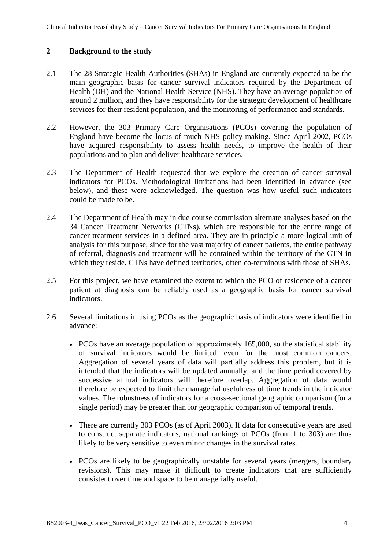#### **2 Background to the study**

- 2.1 The 28 Strategic Health Authorities (SHAs) in England are currently expected to be the main geographic basis for cancer survival indicators required by the Department of Health (DH) and the National Health Service (NHS). They have an average population of around 2 million, and they have responsibility for the strategic development of healthcare services for their resident population, and the monitoring of performance and standards.
- 2.2 However, the 303 Primary Care Organisations (PCOs) covering the population of England have become the locus of much NHS policy-making. Since April 2002, PCOs have acquired responsibility to assess health needs, to improve the health of their populations and to plan and deliver healthcare services.
- 2.3 The Department of Health requested that we explore the creation of cancer survival indicators for PCOs. Methodological limitations had been identified in advance (see below), and these were acknowledged. The question was how useful such indicators could be made to be.
- 2.4 The Department of Health may in due course commission alternate analyses based on the 34 Cancer Treatment Networks (CTNs), which are responsible for the entire range of cancer treatment services in a defined area. They are in principle a more logical unit of analysis for this purpose, since for the vast majority of cancer patients, the entire pathway of referral, diagnosis and treatment will be contained within the territory of the CTN in which they reside. CTNs have defined territories, often co-terminous with those of SHAs.
- 2.5 For this project, we have examined the extent to which the PCO of residence of a cancer patient at diagnosis can be reliably used as a geographic basis for cancer survival indicators.
- 2.6 Several limitations in using PCOs as the geographic basis of indicators were identified in advance:
	- PCOs have an average population of approximately 165,000, so the statistical stability of survival indicators would be limited, even for the most common cancers. Aggregation of several years of data will partially address this problem, but it is intended that the indicators will be updated annually, and the time period covered by successive annual indicators will therefore overlap. Aggregation of data would therefore be expected to limit the managerial usefulness of time trends in the indicator values. The robustness of indicators for a cross-sectional geographic comparison (for a single period) may be greater than for geographic comparison of temporal trends.
	- There are currently 303 PCOs (as of April 2003). If data for consecutive years are used to construct separate indicators, national rankings of PCOs (from 1 to 303) are thus likely to be very sensitive to even minor changes in the survival rates.
	- PCOs are likely to be geographically unstable for several years (mergers, boundary revisions). This may make it difficult to create indicators that are sufficiently consistent over time and space to be managerially useful.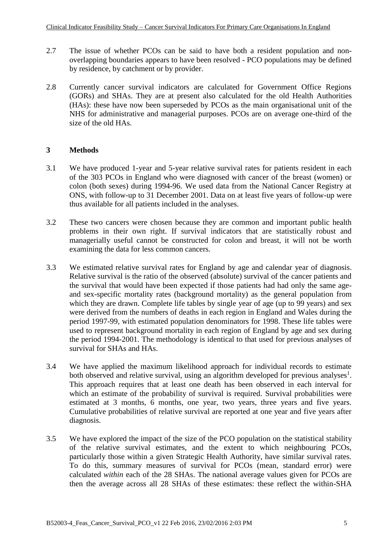- 2.7 The issue of whether PCOs can be said to have both a resident population and nonoverlapping boundaries appears to have been resolved - PCO populations may be defined by residence, by catchment or by provider.
- 2.8 Currently cancer survival indicators are calculated for Government Office Regions (GORs) and SHAs. They are at present also calculated for the old Health Authorities (HAs): these have now been superseded by PCOs as the main organisational unit of the NHS for administrative and managerial purposes. PCOs are on average one-third of the size of the old HAs.

#### **3 Methods**

- 3.1 We have produced 1-year and 5-year relative survival rates for patients resident in each of the 303 PCOs in England who were diagnosed with cancer of the breast (women) or colon (both sexes) during 1994-96. We used data from the National Cancer Registry at ONS, with follow-up to 31 December 2001. Data on at least five years of follow-up were thus available for all patients included in the analyses.
- 3.2 These two cancers were chosen because they are common and important public health problems in their own right. If survival indicators that are statistically robust and managerially useful cannot be constructed for colon and breast, it will not be worth examining the data for less common cancers.
- 3.3 We estimated relative survival rates for England by age and calendar year of diagnosis. Relative survival is the ratio of the observed (absolute) survival of the cancer patients and the survival that would have been expected if those patients had had only the same ageand sex-specific mortality rates (background mortality) as the general population from which they are drawn. Complete life tables by single year of age (up to 99 years) and sex were derived from the numbers of deaths in each region in England and Wales during the period 1997-99, with estimated population denominators for 1998. These life tables were used to represent background mortality in each region of England by age and sex during the period 1994-2001. The methodology is identical to that used for previous analyses of survival for SHAs and HAs.
- 3.4 We have applied the maximum likelihood approach for individual records to estimate both observed and relative survival, using an algorithm developed for previous analyses<sup>1</sup>. This approach requires that at least one death has been observed in each interval for which an estimate of the probability of survival is required. Survival probabilities were estimated at 3 months, 6 months, one year, two years, three years and five years. Cumulative probabilities of relative survival are reported at one year and five years after diagnosis.
- 3.5 We have explored the impact of the size of the PCO population on the statistical stability of the relative survival estimates, and the extent to which neighbouring PCOs, particularly those within a given Strategic Health Authority, have similar survival rates. To do this, summary measures of survival for PCOs (mean, standard error) were calculated *within* each of the 28 SHAs. The national average values given for PCOs are then the average across all 28 SHAs of these estimates: these reflect the within-SHA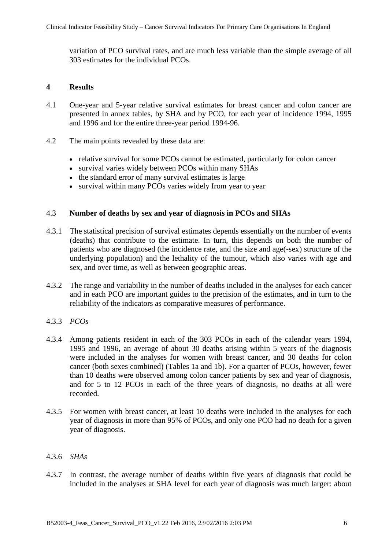variation of PCO survival rates, and are much less variable than the simple average of all 303 estimates for the individual PCOs.

#### **4 Results**

- 4.1 One-year and 5-year relative survival estimates for breast cancer and colon cancer are presented in annex tables, by SHA and by PCO, for each year of incidence 1994, 1995 and 1996 and for the entire three-year period 1994-96.
- 4.2 The main points revealed by these data are:
	- relative survival for some PCOs cannot be estimated, particularly for colon cancer
	- survival varies widely between PCOs within many SHAs
	- the standard error of many survival estimates is large
	- survival within many PCOs varies widely from year to year

#### 4.3 **Number of deaths by sex and year of diagnosis in PCOs and SHAs**

- 4.3.1 The statistical precision of survival estimates depends essentially on the number of events (deaths) that contribute to the estimate. In turn, this depends on both the number of patients who are diagnosed (the incidence rate, and the size and age(-sex) structure of the underlying population) and the lethality of the tumour, which also varies with age and sex, and over time, as well as between geographic areas.
- 4.3.2 The range and variability in the number of deaths included in the analyses for each cancer and in each PCO are important guides to the precision of the estimates, and in turn to the reliability of the indicators as comparative measures of performance.
- 4.3.3 *PCOs*
- 4.3.4 Among patients resident in each of the 303 PCOs in each of the calendar years 1994, 1995 and 1996, an average of about 30 deaths arising within 5 years of the diagnosis were included in the analyses for women with breast cancer, and 30 deaths for colon cancer (both sexes combined) (Tables 1a and 1b). For a quarter of PCOs, however, fewer than 10 deaths were observed among colon cancer patients by sex and year of diagnosis, and for 5 to 12 PCOs in each of the three years of diagnosis, no deaths at all were recorded.
- 4.3.5 For women with breast cancer, at least 10 deaths were included in the analyses for each year of diagnosis in more than 95% of PCOs, and only one PCO had no death for a given year of diagnosis.

#### 4.3.6 *SHAs*

4.3.7 In contrast, the average number of deaths within five years of diagnosis that could be included in the analyses at SHA level for each year of diagnosis was much larger: about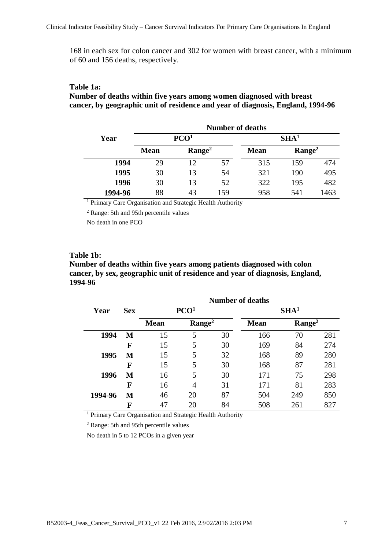168 in each sex for colon cancer and 302 for women with breast cancer, with a minimum of 60 and 156 deaths, respectively.

#### **Table 1a:**

**Number of deaths within five years among women diagnosed with breast cancer, by geographic unit of residence and year of diagnosis, England, 1994-96**

|         | <b>Number of deaths</b> |                  |     |                  |                |      |  |  |  |  |
|---------|-------------------------|------------------|-----|------------------|----------------|------|--|--|--|--|
| Year    |                         | PCO <sup>1</sup> |     | SHA <sup>1</sup> |                |      |  |  |  |  |
|         | <b>Mean</b>             | $\rm{Range}^2$   |     | <b>Mean</b>      | $\rm{Range}^2$ |      |  |  |  |  |
| 1994    | 29                      | 12               | 57  | 315              | 159            | 474  |  |  |  |  |
| 1995    | 30                      | 13               | 54  | 321              | 190            | 495  |  |  |  |  |
| 1996    | 30                      | 13               | 52  | 322              | 195            | 482  |  |  |  |  |
| 1994-96 | 88                      | 43               | 159 | 958              | 541            | 1463 |  |  |  |  |

<sup>1</sup> Primary Care Organisation and Strategic Health Authority

<sup>2</sup> Range: 5th and 95th percentile values

No death in one PCO

#### **Table 1b:**

**Number of deaths within five years among patients diagnosed with colon cancer, by sex, geographic unit of residence and year of diagnosis, England, 1994-96**

|         |            |                                      | <b>Number of deaths</b> |    |             |                |     |  |  |
|---------|------------|--------------------------------------|-------------------------|----|-------------|----------------|-----|--|--|
| Year    | <b>Sex</b> | PCO <sup>1</sup><br>SHA <sup>1</sup> |                         |    |             |                |     |  |  |
|         |            | <b>Mean</b>                          | Range <sup>2</sup>      |    | <b>Mean</b> | $\rm{Range}^2$ |     |  |  |
| 1994    | М          | 15                                   | 5                       | 30 | 166         | 70             | 281 |  |  |
|         | F          | 15                                   | 5                       | 30 | 169         | 84             | 274 |  |  |
| 1995    | М          | 15                                   | 5                       | 32 | 168         | 89             | 280 |  |  |
|         | F          | 15                                   | 5                       | 30 | 168         | 87             | 281 |  |  |
| 1996    | М          | 16                                   | 5                       | 30 | 171         | 75             | 298 |  |  |
|         | F          | 16                                   | 4                       | 31 | 171         | 81             | 283 |  |  |
| 1994-96 | М          | 46                                   | 20                      | 87 | 504         | 249            | 850 |  |  |
|         | F          | 47                                   | 20                      | 84 | 508         | 261            | 827 |  |  |

<sup>1</sup> Primary Care Organisation and Strategic Health Authority

<sup>2</sup> Range: 5th and 95th percentile values

No death in 5 to 12 PCOs in a given year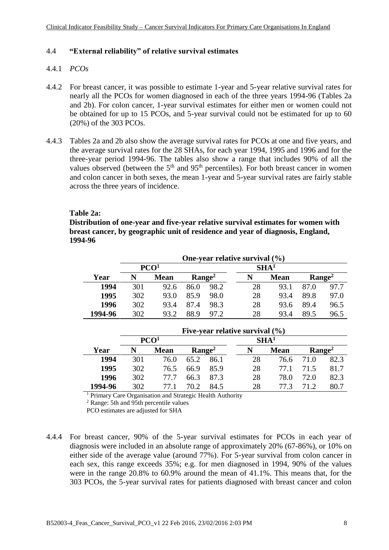#### 4.4 **"External reliability" of relative survival estimates**

#### 4.4.1 *PCOs*

- 4.4.2 For breast cancer, it was possible to estimate 1-year and 5-year relative survival rates for nearly all the PCOs for women diagnosed in each of the three years 1994-96 (Tables 2a and 2b). For colon cancer, 1-year survival estimates for either men or women could not be obtained for up to 15 PCOs, and 5-year survival could not be estimated for up to 60 (20%) of the 303 PCOs.
- 4.4.3 Tables 2a and 2b also show the average survival rates for PCOs at one and five years, and the average survival rates for the 28 SHAs, for each year 1994, 1995 and 1996 and for the three-year period 1994-96. The tables also show a range that includes 90% of all the values observed (between the  $5<sup>th</sup>$  and  $95<sup>th</sup>$  percentiles). For both breast cancer in women and colon cancer in both sexes, the mean 1-year and 5-year survival rates are fairly stable across the three years of incidence.

#### **Table 2a:**

**Distribution of one-year and five-year relative survival estimates for women with breast cancer, by geographic unit of residence and year of diagnosis, England, 1994-96**

|         |             |                    |      | One-year relative survival (%) |                  |                    |      |      |
|---------|-------------|--------------------|------|--------------------------------|------------------|--------------------|------|------|
|         |             | PCO <sup>1</sup>   |      |                                | SHA <sup>1</sup> |                    |      |      |
| Year    | <b>Mean</b> | Range <sup>2</sup> |      | N                              | <b>Mean</b>      | Range <sup>2</sup> |      |      |
| 1994    | 301         | 92.6               | 86.0 | 98.2                           | 28               | 93.1               | 87.0 | 97.7 |
| 1995    | 302         | 93.0               | 85.9 | 98.0                           | 28               | 93.4               | 89.8 | 97.0 |
| 1996    | 302         | 93.4               | 87.4 | 98.3                           | 28               | 93.6               | 89.4 | 96.5 |
| 1994-96 | 302         | 93.2               | 88.9 | 97.2                           | 28               | 93.4               | 89.5 | 96.5 |

|         |                  |                  |      |      | Five-year relative survival $(\% )$ |             |                |      |
|---------|------------------|------------------|------|------|-------------------------------------|-------------|----------------|------|
|         |                  | PCO <sup>1</sup> |      |      | SHA <sup>1</sup>                    |             |                |      |
| Year    | <b>Mean</b><br>N |                  |      |      |                                     | <b>Mean</b> | $\rm{Range}^2$ |      |
| 1994    | 301              | 76.0             | 65.2 | 86.1 | 28                                  | 76.6        | 71.O           | 82.3 |
| 1995    | 302              | 76.5             | 66.9 | 85.9 | 28                                  | 77.1        | 71.5           | 81.7 |
| 1996    | 302              | 77 7             | 66.3 | 87.3 | 28                                  | 78.0        | 72.0           | 82.3 |
| 1994-96 | 302              | 77 1             | 70.2 | 84.5 | 28                                  | 77 3        | 71 J           | 80.7 |

<sup>1</sup> Primary Care Organisation and Strategic Health Authority

<sup>2</sup> Range: 5th and 95th percentile values

PCO estimates are adjusted for SHA

4.4.4 For breast cancer, 90% of the 5-year survival estimates for PCOs in each year of diagnosis were included in an absolute range of approximately 20% (67-86%), or 10% on either side of the average value (around 77%). For 5-year survival from colon cancer in each sex, this range exceeds 35%; e.g. for men diagnosed in 1994, 90% of the values were in the range 20.8% to 60.9% around the mean of 41.1%. This means that, for the 303 PCOs, the 5-year survival rates for patients diagnosed with breast cancer and colon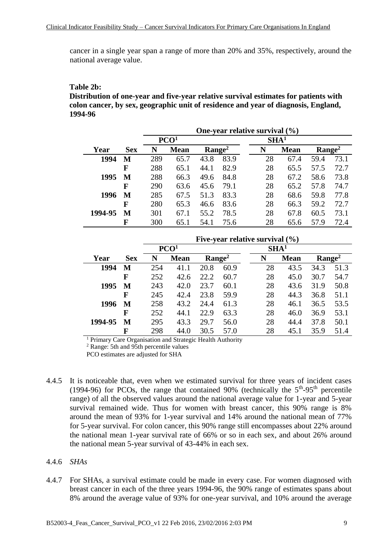cancer in a single year span a range of more than 20% and 35%, respectively, around the national average value.

#### **Table 2b:**

**Distribution of one-year and five-year relative survival estimates for patients with colon cancer, by sex, geographic unit of residence and year of diagnosis, England, 1994-96**

|         |            |                  | One-year relative survival $(\% )$ |                |      |                  |             |                |      |  |  |  |
|---------|------------|------------------|------------------------------------|----------------|------|------------------|-------------|----------------|------|--|--|--|
|         |            |                  | PCO <sup>1</sup>                   |                |      | SHA <sup>1</sup> |             |                |      |  |  |  |
| Year    | <b>Sex</b> | <b>Mean</b><br>N |                                    | $\rm{Range}^2$ |      | N                | <b>Mean</b> | $\rm{Range}^2$ |      |  |  |  |
| 1994    | М          | 289              | 65.7                               | 43.8           | 83.9 | 28               | 67.4        | 59.4           | 73.1 |  |  |  |
|         | F          | 288              | 65.1                               | 44.1           | 82.9 | 28               | 65.5        | 57.5           | 72.7 |  |  |  |
| 1995    | М          | 288              | 66.3                               | 49.6           | 84.8 | 28               | 67.2        | 58.6           | 73.8 |  |  |  |
|         | F          | 290              | 63.6                               | 45.6           | 79.1 | 28               | 65.2        | 57.8           | 74.7 |  |  |  |
| 1996    | М          | 285              | 67.5                               | 51.3           | 83.3 | 28               | 68.6        | 59.8           | 77.8 |  |  |  |
|         | F          | 280              | 65.3                               | 46.6           | 83.6 | 28               | 66.3        | 59.2           | 72.7 |  |  |  |
| 1994-95 | М          | 301              | 67.1                               | 55.2           | 78.5 | 28               | 67.8        | 60.5           | 73.1 |  |  |  |
|         | F          | 300              | 65.1                               | 54.1           | 75.6 | 28               | 65.6        | 57.9           | 72.4 |  |  |  |

|         |            |     |                  |                |      | Five-year relative survival $(\% )$ |             |                |      |
|---------|------------|-----|------------------|----------------|------|-------------------------------------|-------------|----------------|------|
|         |            |     | PCO <sup>1</sup> |                |      | SHA <sup>1</sup>                    |             |                |      |
| Year    | <b>Sex</b> | N   | <b>Mean</b>      | $\rm{Range}^2$ |      | N                                   | <b>Mean</b> | $\rm{Range}^2$ |      |
| 1994    | M          | 254 | 41.1             | 20.8           | 60.9 | 28                                  | 43.5        | 34.3           | 51.3 |
|         | F          | 252 | 42.6             | 22.2           | 60.7 | 28                                  | 45.0        | 30.7           | 54.7 |
| 1995    | М          | 243 | 42.0             | 23.7           | 60.1 | 28                                  | 43.6        | 31.9           | 50.8 |
|         | F          | 245 | 42.4             | 23.8           | 59.9 | 28                                  | 44.3        | 36.8           | 51.1 |
| 1996    | М          | 258 | 43.2             | 24.4           | 61.3 | 28                                  | 46.1        | 36.5           | 53.5 |
|         | F          | 252 | 44.1             | 22.9           | 63.3 | 28                                  | 46.0        | 36.9           | 53.1 |
| 1994-95 | M          | 295 | 43.3             | 29.7           | 56.0 | 28                                  | 44.4        | 37.8           | 50.1 |
|         | F          | 298 | 44.0             | 30.5           | 57.0 | 28                                  | 45.1        | 35.9           | 51.4 |

<sup>1</sup> Primary Care Organisation and Strategic Health Authority

<sup>2</sup> Range: 5th and 95th percentile values

PCO estimates are adjusted for SHA

4.4.5 It is noticeable that, even when we estimated survival for three years of incident cases (1994-96) for PCOs, the range that contained 90% (technically the  $5<sup>th</sup>$ -95<sup>th</sup> percentile range) of all the observed values around the national average value for 1-year and 5-year survival remained wide. Thus for women with breast cancer, this 90% range is 8% around the mean of 93% for 1-year survival and 14% around the national mean of 77% for 5-year survival. For colon cancer, this 90% range still encompasses about 22% around the national mean 1-year survival rate of 66% or so in each sex, and about 26% around the national mean 5-year survival of 43-44% in each sex.

#### 4.4.6 *SHAs*

4.4.7 For SHAs, a survival estimate could be made in every case. For women diagnosed with breast cancer in each of the three years 1994-96, the 90% range of estimates spans about 8% around the average value of 93% for one-year survival, and 10% around the average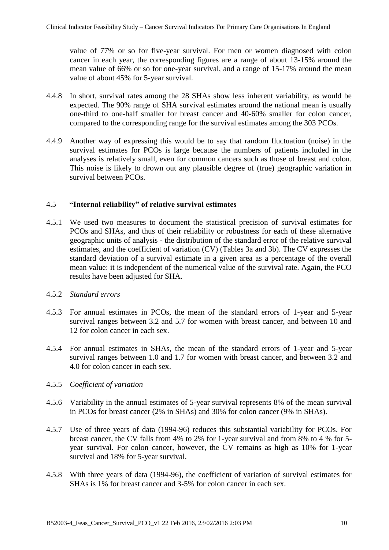value of 77% or so for five-year survival. For men or women diagnosed with colon cancer in each year, the corresponding figures are a range of about 13-15% around the mean value of 66% or so for one-year survival, and a range of 15-17% around the mean value of about 45% for 5-year survival.

- 4.4.8 In short, survival rates among the 28 SHAs show less inherent variability, as would be expected. The 90% range of SHA survival estimates around the national mean is usually one-third to one-half smaller for breast cancer and 40-60% smaller for colon cancer, compared to the corresponding range for the survival estimates among the 303 PCOs.
- 4.4.9 Another way of expressing this would be to say that random fluctuation (noise) in the survival estimates for PCOs is large because the numbers of patients included in the analyses is relatively small, even for common cancers such as those of breast and colon. This noise is likely to drown out any plausible degree of (true) geographic variation in survival between PCOs.

#### 4.5 **"Internal reliability" of relative survival estimates**

4.5.1 We used two measures to document the statistical precision of survival estimates for PCOs and SHAs, and thus of their reliability or robustness for each of these alternative geographic units of analysis - the distribution of the standard error of the relative survival estimates, and the coefficient of variation (CV) (Tables 3a and 3b). The CV expresses the standard deviation of a survival estimate in a given area as a percentage of the overall mean value: it is independent of the numerical value of the survival rate. Again, the PCO results have been adjusted for SHA.

#### 4.5.2 *Standard errors*

- 4.5.3 For annual estimates in PCOs, the mean of the standard errors of 1-year and 5-year survival ranges between 3.2 and 5.7 for women with breast cancer, and between 10 and 12 for colon cancer in each sex.
- 4.5.4 For annual estimates in SHAs, the mean of the standard errors of 1-year and 5-year survival ranges between 1.0 and 1.7 for women with breast cancer, and between 3.2 and 4.0 for colon cancer in each sex.

#### 4.5.5 *Coefficient of variation*

- 4.5.6 Variability in the annual estimates of 5-year survival represents 8% of the mean survival in PCOs for breast cancer (2% in SHAs) and 30% for colon cancer (9% in SHAs).
- 4.5.7 Use of three years of data (1994-96) reduces this substantial variability for PCOs. For breast cancer, the CV falls from 4% to 2% for 1-year survival and from 8% to 4 % for 5 year survival. For colon cancer, however, the CV remains as high as 10% for 1-year survival and 18% for 5-year survival.
- 4.5.8 With three years of data (1994-96), the coefficient of variation of survival estimates for SHAs is 1% for breast cancer and 3-5% for colon cancer in each sex.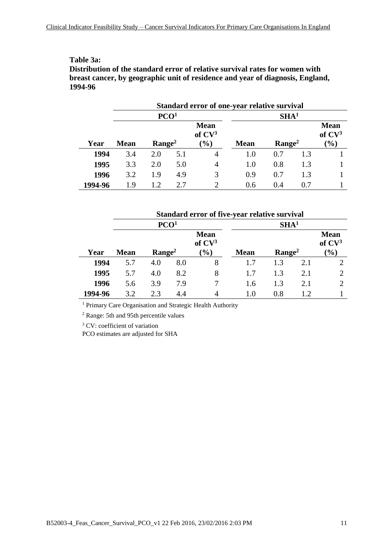#### **Table 3a:**

**Distribution of the standard error of relative survival rates for women with breast cancer, by geographic unit of residence and year of diagnosis, England, 1994-96**

|         |             |                  |     | Standard error of one-year relative survival |                  |                |     |                                   |  |  |
|---------|-------------|------------------|-----|----------------------------------------------|------------------|----------------|-----|-----------------------------------|--|--|
|         |             | PCO <sup>1</sup> |     |                                              | SHA <sup>1</sup> |                |     |                                   |  |  |
|         |             |                  |     | <b>Mean</b><br>of CV <sup>3</sup>            |                  |                |     | <b>Mean</b><br>of CV <sup>3</sup> |  |  |
| Year    | <b>Mean</b> | $\rm{Range}^2$   |     | $\mathcal{O}_0$                              | <b>Mean</b>      | $\rm{Range}^2$ |     | $(\%)$                            |  |  |
| 1994    | 3.4         | 2.0              | 5.1 | 4                                            | 1.0              | 0.7            | 1.3 |                                   |  |  |
| 1995    | 3.3         | 2.0              | 5.0 | $\overline{4}$                               | 1.0              | 0.8            | 1.3 |                                   |  |  |
| 1996    | 3.2         | 1.9              | 4.9 | 3                                            | 0.9              | 0.7            | 1.3 |                                   |  |  |
| 1994-96 | 19          | 1.2              | 2.7 | $\mathcal{D}$                                | 0.6              | 0.4            | 0.7 |                                   |  |  |

#### **Standard error of five-year relative survival PCO<sup>1</sup> SHA<sup>1</sup> Year Mean Range<sup>2</sup> Mean of CV<sup>3</sup> (%) Mean Range<sup>2</sup> Mean of CV<sup>3</sup> (%) 1994** 5.7 4.0 8.0 8 1.7 1.3 2.1 2 **1995** 5.7 4.0 8.2 8 1.7 1.3 2.1 2 **1996** 5.6 3.9 7.9 7 1.6 1.3 2.1 2 **1994-96** 3.2 2.3 4.4 4 1.0 0.8 1.2 1

<sup>1</sup> Primary Care Organisation and Strategic Health Authority

<sup>2</sup> Range: 5th and 95th percentile values

<sup>3</sup> CV: coefficient of variation

PCO estimates are adjusted for SHA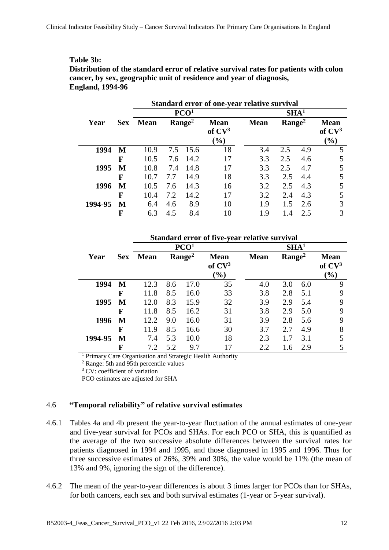#### **Table 3b:**

**Distribution of the standard error of relative survival rates for patients with colon cancer, by sex, geographic unit of residence and year of diagnosis, England, 1994-96**

|         |            | Standard error of one-year relative survival |     |                    |                                                    |             |                    |                  |                                   |  |
|---------|------------|----------------------------------------------|-----|--------------------|----------------------------------------------------|-------------|--------------------|------------------|-----------------------------------|--|
|         |            |                                              |     | PCO <sup>1</sup>   |                                                    |             |                    | SHA <sup>1</sup> |                                   |  |
| Year    | <b>Sex</b> | <b>Mean</b>                                  |     | Range <sup>2</sup> | <b>Mean</b><br>of CV <sup>3</sup><br>$\frac{9}{6}$ | <b>Mean</b> | Range <sup>2</sup> |                  | <b>Mean</b><br>of $CV3$<br>$(\%)$ |  |
| 1994    | M          | 10.9                                         |     | 7.5 15.6           | 18                                                 | 3.4         | 2.5                | 4.9              | 5                                 |  |
|         | F          | 10.5                                         | 7.6 | 14.2               | 17                                                 | 3.3         | 2.5                | 4.6              |                                   |  |
| 1995    | M          | 10.8                                         | 7.4 | 14.8               | 17                                                 | 3.3         | 2.5                | 4.7              |                                   |  |
|         | F          | 10.7                                         | 7.7 | 14.9               | 18                                                 | 3.3         | 2.5                | 4.4              |                                   |  |
| 1996    | M          | 10.5                                         | 7.6 | 14.3               | 16                                                 | 3.2         | 2.5                | 4.3              |                                   |  |
|         | F          | 10.4                                         | 7.2 | 14.2               | 17                                                 | 3.2         | 2.4                | 4.3              |                                   |  |
| 1994-95 | M          | 6.4                                          | 4.6 | 8.9                | 10                                                 | 1.9         | 1.5                | 2.6              |                                   |  |
|         | F          | 6.3                                          | 4.5 | 8.4                | 10                                                 | 1.9         | 1.4                | 2.5              |                                   |  |

|         |            |                                      |     |                    | Standard error of five-year relative survival |             |                    |     |                         |
|---------|------------|--------------------------------------|-----|--------------------|-----------------------------------------------|-------------|--------------------|-----|-------------------------|
|         |            | PCO <sup>1</sup><br>SHA <sup>1</sup> |     |                    |                                               |             |                    |     |                         |
| Year    | <b>Sex</b> | <b>Mean</b>                          |     | Range <sup>2</sup> | <b>Mean</b><br>of $CV3$                       | <b>Mean</b> | Range <sup>2</sup> |     | <b>Mean</b><br>of $CV3$ |
|         |            |                                      |     |                    | $(\%)$                                        |             |                    |     | $(\%)$                  |
| 1994    | M          | 12.3                                 | 8.6 | 17.0               | 35                                            | 4.0         | 3.0                | 6.0 | 9                       |
|         | F          | 11.8                                 | 8.5 | 16.0               | 33                                            | 3.8         | 2.8                | 5.1 | 9                       |
| 1995    | M          | 12.0                                 | 8.3 | 15.9               | 32                                            | 3.9         | 2.9                | 5.4 | 9                       |
|         | F          | 11.8                                 | 8.5 | 16.2               | 31                                            | 3.8         | 2.9                | 5.0 | 9                       |
| 1996    | M          | 12.2                                 | 9.0 | 16.0               | 31                                            | 3.9         | 2.8                | 5.6 | 9                       |
|         | F          | 11.9                                 | 8.5 | 16.6               | 30                                            | 3.7         | 2.7                | 4.9 | 8                       |
| 1994-95 | M          | 7.4                                  | 5.3 | 10.0               | 18                                            | 2.3         | 1.7                | 3.1 |                         |
|         | F          | 7.2                                  | 5.2 | 9.7                | 17                                            | 2.2         | 1.6                | 2.9 |                         |

<sup>1</sup> Primary Care Organisation and Strategic Health Authority

<sup>2</sup> Range: 5th and 95th percentile values

<sup>3</sup> CV: coefficient of variation

PCO estimates are adjusted for SHA

#### 4.6 **"Temporal reliability" of relative survival estimates**

4.6.1 Tables 4a and 4b present the year-to-year fluctuation of the annual estimates of one-year and five-year survival for PCOs and SHAs. For each PCO or SHA, this is quantified as the average of the two successive absolute differences between the survival rates for patients diagnosed in 1994 and 1995, and those diagnosed in 1995 and 1996. Thus for three successive estimates of 26%, 39% and 30%, the value would be 11% (the mean of 13% and 9%, ignoring the sign of the difference).

4.6.2 The mean of the year-to-year differences is about 3 times larger for PCOs than for SHAs, for both cancers, each sex and both survival estimates (1-year or 5-year survival).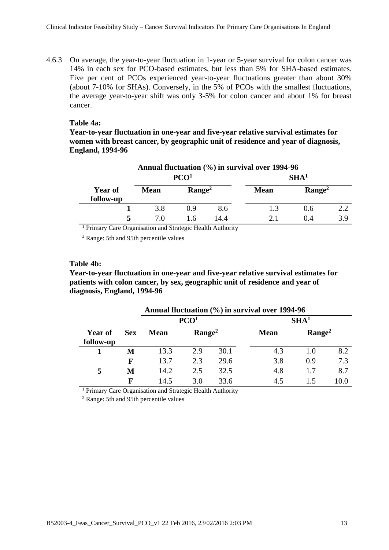4.6.3 On average, the year-to-year fluctuation in 1-year or 5-year survival for colon cancer was 14% in each sex for PCO-based estimates, but less than 5% for SHA-based estimates. Five per cent of PCOs experienced year-to-year fluctuations greater than about 30% (about 7-10% for SHAs). Conversely, in the 5% of PCOs with the smallest fluctuations, the average year-to-year shift was only 3-5% for colon cancer and about 1% for breast cancer.

#### **Table 4a:**

**Year-to-year fluctuation in one-year and five-year relative survival estimates for women with breast cancer, by geographic unit of residence and year of diagnosis, England, 1994-96**

|                             | Annual fluctuation (%) in survival over 1994-96 |                    |      |                  |                |     |  |  |  |  |
|-----------------------------|-------------------------------------------------|--------------------|------|------------------|----------------|-----|--|--|--|--|
|                             |                                                 | PCO <sup>1</sup>   |      | SHA <sup>1</sup> |                |     |  |  |  |  |
| <b>Year of</b><br>follow-up | <b>Mean</b>                                     | Range <sup>2</sup> |      | <b>Mean</b>      | $\rm{Range}^2$ |     |  |  |  |  |
|                             | 3.8                                             | 0.9                | 8.6  | 1.3              | 0.6            | 2.2 |  |  |  |  |
|                             | 7 O                                             | 16                 | 14.4 |                  | 0.4            | 3.9 |  |  |  |  |

<sup>1</sup> Primary Care Organisation and Strategic Health Authority

<sup>2</sup> Range: 5th and 95th percentile values

#### **Table 4b:**

**Year-to-year fluctuation in one-year and five-year relative survival estimates for patients with colon cancer, by sex, geographic unit of residence and year of diagnosis, England, 1994-96**

|                             |            | Annual fluctuation (%) in survival over 1994-96 |                  |      |             |                  |      |  |  |  |  |
|-----------------------------|------------|-------------------------------------------------|------------------|------|-------------|------------------|------|--|--|--|--|
|                             |            |                                                 | PCO <sup>1</sup> |      |             | SHA <sup>1</sup> |      |  |  |  |  |
| <b>Year of</b><br>follow-up | <b>Sex</b> | <b>Mean</b>                                     | $\rm{Range}^2$   |      | <b>Mean</b> | $\rm{Range}^2$   |      |  |  |  |  |
|                             | М          | 13.3                                            | 2.9              | 30.1 | 4.3         | 1.0              | 8.2  |  |  |  |  |
|                             | F          | 13.7                                            | 2.3              | 29.6 | 3.8         | 0.9              | 7.3  |  |  |  |  |
| 5                           | М          | 14.2                                            | 2.5              | 32.5 | 4.8         | 1.7              | 8.7  |  |  |  |  |
|                             | F          | 14.5                                            | 3.0              | 33.6 | 4.5         | 1.5              | 10.0 |  |  |  |  |

<sup>1</sup> Primary Care Organisation and Strategic Health Authority

<sup>2</sup> Range: 5th and 95th percentile values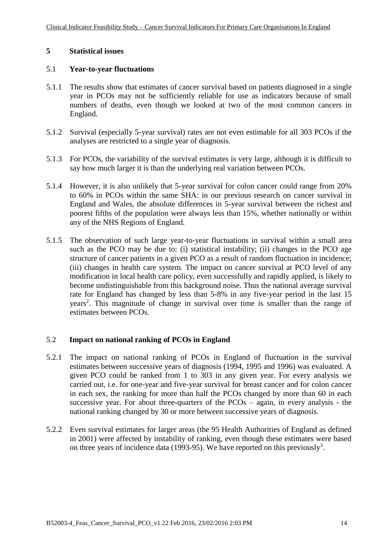#### **5 Statistical issues**

#### 5.1 **Year-to-year fluctuations**

- 5.1.1 The results show that estimates of cancer survival based on patients diagnosed in a single year in PCOs may not be sufficiently reliable for use as indicators because of small numbers of deaths, even though we looked at two of the most common cancers in England.
- 5.1.2 Survival (especially 5-year survival) rates are not even estimable for all 303 PCOs if the analyses are restricted to a single year of diagnosis.
- 5.1.3 For PCOs, the variability of the survival estimates is very large, although it is difficult to say how much larger it is than the underlying real variation between PCOs.
- 5.1.4 However, it is also unlikely that 5-year survival for colon cancer could range from 20% to 60% in PCOs within the same SHA: in our previous research on cancer survival in England and Wales, the absolute differences in 5-year survival between the richest and poorest fifths of the population were always less than 15%, whether nationally or within any of the NHS Regions of England.
- 5.1.5 The observation of such large year-to-year fluctuations in survival within a small area such as the PCO may be due to: (i) statistical instability; (ii) changes in the PCO age structure of cancer patients in a given PCO as a result of random fluctuation in incidence; (iii) changes in health care system. The impact on cancer survival at PCO level of any modification in local health care policy, even successfully and rapidly applied, is likely to become undistinguishable from this background noise. Thus the national average survival rate for England has changed by less than 5-8% in any five-year period in the last 15 years<sup>2</sup>. This magnitude of change in survival over time is smaller than the range of estimates between PCOs.

### 5.2 **Impact on national ranking of PCOs in England**

- 5.2.1 The impact on national ranking of PCOs in England of fluctuation in the survival estimates between successive years of diagnosis (1994, 1995 and 1996) was evaluated. A given PCO could be ranked from 1 to 303 in any given year. For every analysis we carried out, i.e. for one-year and five-year survival for breast cancer and for colon cancer in each sex, the ranking for more than half the PCOs changed by more than 60 in each successive year. For about three-quarters of the  $PCOs - again$ , in every analysis - the national ranking changed by 30 or more between successive years of diagnosis.
- 5.2.2 Even survival estimates for larger areas (the 95 Health Authorities of England as defined in 2001) were affected by instability of ranking, even though these estimates were based on three years of incidence data (1993-95). We have reported on this previously<sup>3</sup>.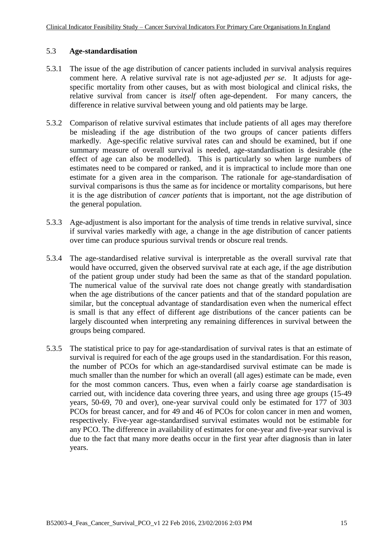#### 5.3 **Age-standardisation**

- 5.3.1 The issue of the age distribution of cancer patients included in survival analysis requires comment here. A relative survival rate is not age-adjusted *per se*. It adjusts for agespecific mortality from other causes, but as with most biological and clinical risks, the relative survival from cancer is *itself* often age-dependent. For many cancers, the difference in relative survival between young and old patients may be large.
- 5.3.2 Comparison of relative survival estimates that include patients of all ages may therefore be misleading if the age distribution of the two groups of cancer patients differs markedly. Age-specific relative survival rates can and should be examined, but if one summary measure of overall survival is needed, age-standardisation is desirable (the effect of age can also be modelled). This is particularly so when large numbers of estimates need to be compared or ranked, and it is impractical to include more than one estimate for a given area in the comparison. The rationale for age-standardisation of survival comparisons is thus the same as for incidence or mortality comparisons, but here it is the age distribution of *cancer patients* that is important, not the age distribution of the general population.
- 5.3.3 Age-adjustment is also important for the analysis of time trends in relative survival, since if survival varies markedly with age, a change in the age distribution of cancer patients over time can produce spurious survival trends or obscure real trends.
- 5.3.4 The age-standardised relative survival is interpretable as the overall survival rate that would have occurred, given the observed survival rate at each age, if the age distribution of the patient group under study had been the same as that of the standard population. The numerical value of the survival rate does not change greatly with standardisation when the age distributions of the cancer patients and that of the standard population are similar, but the conceptual advantage of standardisation even when the numerical effect is small is that any effect of different age distributions of the cancer patients can be largely discounted when interpreting any remaining differences in survival between the groups being compared.
- 5.3.5 The statistical price to pay for age-standardisation of survival rates is that an estimate of survival is required for each of the age groups used in the standardisation. For this reason, the number of PCOs for which an age-standardised survival estimate can be made is much smaller than the number for which an overall (all ages) estimate can be made, even for the most common cancers. Thus, even when a fairly coarse age standardisation is carried out, with incidence data covering three years, and using three age groups (15-49 years, 50-69, 70 and over), one-year survival could only be estimated for 177 of 303 PCOs for breast cancer, and for 49 and 46 of PCOs for colon cancer in men and women, respectively. Five-year age-standardised survival estimates would not be estimable for any PCO. The difference in availability of estimates for one-year and five-year survival is due to the fact that many more deaths occur in the first year after diagnosis than in later years.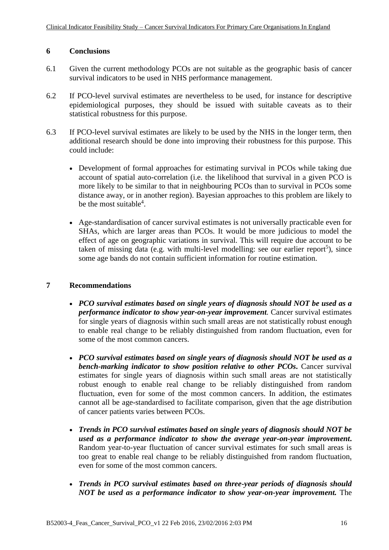#### **6 Conclusions**

- 6.1 Given the current methodology PCOs are not suitable as the geographic basis of cancer survival indicators to be used in NHS performance management.
- 6.2 If PCO-level survival estimates are nevertheless to be used, for instance for descriptive epidemiological purposes, they should be issued with suitable caveats as to their statistical robustness for this purpose.
- 6.3 If PCO-level survival estimates are likely to be used by the NHS in the longer term, then additional research should be done into improving their robustness for this purpose. This could include:
	- Development of formal approaches for estimating survival in PCOs while taking due account of spatial auto-correlation (i.e. the likelihood that survival in a given PCO is more likely to be similar to that in neighbouring PCOs than to survival in PCOs some distance away, or in another region). Bayesian approaches to this problem are likely to be the most suitable<sup>4</sup>.
	- Age-standardisation of cancer survival estimates is not universally practicable even for SHAs, which are larger areas than PCOs. It would be more judicious to model the effect of age on geographic variations in survival. This will require due account to be taken of missing data (e.g. with multi-level modelling: see our earlier report<sup>5</sup>), since some age bands do not contain sufficient information for routine estimation.

#### **7 Recommendations**

- *PCO survival estimates based on single years of diagnosis should NOT be used as a performance indicator to show year-on-year improvement.* Cancer survival estimates for single years of diagnosis within such small areas are not statistically robust enough to enable real change to be reliably distinguished from random fluctuation, even for some of the most common cancers.
- *PCO survival estimates based on single years of diagnosis should NOT be used as a bench-marking indicator to show position relative to other PCOs.* Cancer survival estimates for single years of diagnosis within such small areas are not statistically robust enough to enable real change to be reliably distinguished from random fluctuation, even for some of the most common cancers. In addition, the estimates cannot all be age-standardised to facilitate comparison, given that the age distribution of cancer patients varies between PCOs.
- *Trends in PCO survival estimates based on single years of diagnosis should NOT be used as a performance indicator to show the average year-on-year improvement***.** Random year-to-year fluctuation of cancer survival estimates for such small areas is too great to enable real change to be reliably distinguished from random fluctuation, even for some of the most common cancers.
- *Trends in PCO survival estimates based on three-year periods of diagnosis should NOT be used as a performance indicator to show year-on-year improvement.* The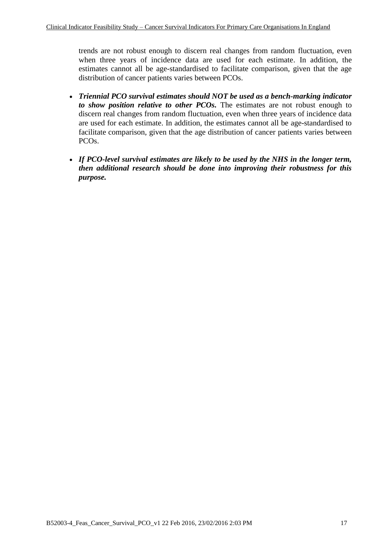trends are not robust enough to discern real changes from random fluctuation, even when three years of incidence data are used for each estimate. In addition, the estimates cannot all be age-standardised to facilitate comparison, given that the age distribution of cancer patients varies between PCOs.

- *Triennial PCO survival estimates should NOT be used as a bench-marking indicator to show position relative to other PCOs.* The estimates are not robust enough to discern real changes from random fluctuation, even when three years of incidence data are used for each estimate. In addition, the estimates cannot all be age-standardised to facilitate comparison, given that the age distribution of cancer patients varies between PCOs.
- *If PCO-level survival estimates are likely to be used by the NHS in the longer term, then additional research should be done into improving their robustness for this purpose.*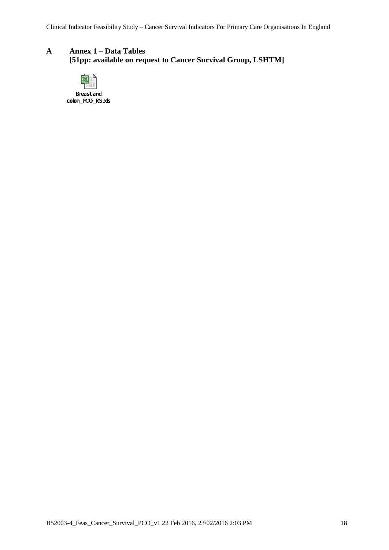## **A Annex 1 – Data Tables [51pp: available on request to Cancer Survival Group, LSHTM]**